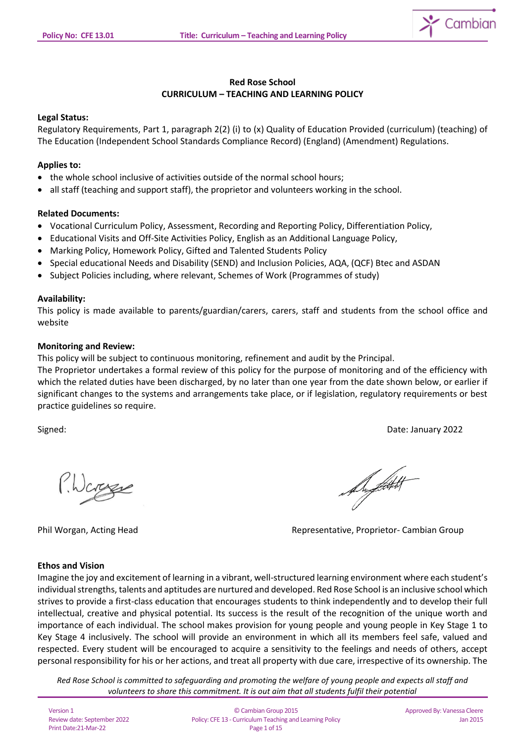

# **Red Rose School CURRICULUM – TEACHING AND LEARNING POLICY**

#### **Legal Status:**

Regulatory Requirements, Part 1, paragraph 2(2) (i) to (x) Quality of Education Provided (curriculum) (teaching) of The Education (Independent School Standards Compliance Record) (England) (Amendment) Regulations.

### **Applies to:**

- the whole school inclusive of activities outside of the normal school hours;
- all staff (teaching and support staff), the proprietor and volunteers working in the school.

#### **Related Documents:**

- Vocational Curriculum Policy, Assessment, Recording and Reporting Policy, Differentiation Policy,
- Educational Visits and Off-Site Activities Policy, English as an Additional Language Policy,
- Marking Policy, Homework Policy, Gifted and Talented Students Policy
- Special educational Needs and Disability (SEND) and Inclusion Policies, AQA, (QCF) Btec and ASDAN
- Subject Policies including, where relevant, Schemes of Work (Programmes of study)

#### **Availability:**

This policy is made available to parents/guardian/carers, carers, staff and students from the school office and website

### **Monitoring and Review:**

This policy will be subject to continuous monitoring, refinement and audit by the Principal.

The Proprietor undertakes a formal review of this policy for the purpose of monitoring and of the efficiency with which the related duties have been discharged, by no later than one year from the date shown below, or earlier if significant changes to the systems and arrangements take place, or if legislation, regulatory requirements or best practice guidelines so require.

Signed: Date: January 2022

Norge

Support

Phil Worgan, Acting Head **Representative, Proprietor- Cambian Group** 

#### **Ethos and Vision**

Imagine the joy and excitement of learning in a vibrant, well-structured learning environment where each student's individual strengths, talents and aptitudes are nurtured and developed. Red Rose School is an inclusive school which strives to provide a first-class education that encourages students to think independently and to develop their full intellectual, creative and physical potential. Its success is the result of the recognition of the unique worth and importance of each individual. The school makes provision for young people and young people in Key Stage 1 to Key Stage 4 inclusively. The school will provide an environment in which all its members feel safe, valued and respected. Every student will be encouraged to acquire a sensitivity to the feelings and needs of others, accept personal responsibility for his or her actions, and treat all property with due care, irrespective of its ownership. The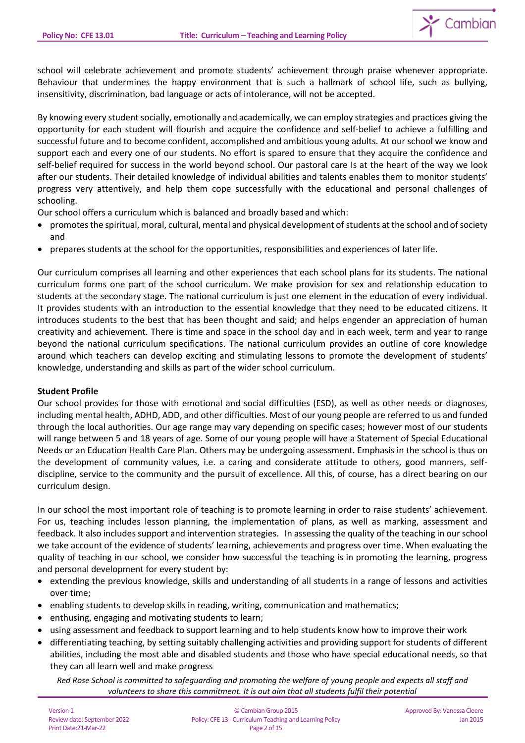

school will celebrate achievement and promote students' achievement through praise whenever appropriate. Behaviour that undermines the happy environment that is such a hallmark of school life, such as bullying, insensitivity, discrimination, bad language or acts of intolerance, will not be accepted.

By knowing every student socially, emotionally and academically, we can employ strategies and practices giving the opportunity for each student will flourish and acquire the confidence and self-belief to achieve a fulfilling and successful future and to become confident, accomplished and ambitious young adults. At our school we know and support each and every one of our students. No effort is spared to ensure that they acquire the confidence and self-belief required for success in the world beyond school. Our pastoral care Is at the heart of the way we look after our students. Their detailed knowledge of individual abilities and talents enables them to monitor students' progress very attentively, and help them cope successfully with the educational and personal challenges of schooling.

Our school offers a curriculum which is balanced and broadly based and which:

- promotes the spiritual, moral, cultural, mental and physical development of students at the school and of society and
- prepares students at the school for the opportunities, responsibilities and experiences of later life.

Our curriculum comprises all learning and other experiences that each school plans for its students. The national curriculum forms one part of the school curriculum. We make provision for sex and relationship education to students at the secondary stage. The national curriculum is just one element in the education of every individual. It provides students with an introduction to the essential knowledge that they need to be educated citizens. It introduces students to the best that has been thought and said; and helps engender an appreciation of human creativity and achievement. There is time and space in the school day and in each week, term and year to range beyond the national curriculum specifications. The national curriculum provides an outline of core knowledge around which teachers can develop exciting and stimulating lessons to promote the development of students' knowledge, understanding and skills as part of the wider school curriculum.

#### **Student Profile**

Our school provides for those with emotional and social difficulties (ESD), as well as other needs or diagnoses, including mental health, ADHD, ADD, and other difficulties. Most of our young people are referred to us and funded through the local authorities. Our age range may vary depending on specific cases; however most of our students will range between 5 and 18 years of age. Some of our young people will have a Statement of Special Educational Needs or an Education Health Care Plan. Others may be undergoing assessment. Emphasis in the school is thus on the development of community values, i.e. a caring and considerate attitude to others, good manners, selfdiscipline, service to the community and the pursuit of excellence. All this, of course, has a direct bearing on our curriculum design.

In our school the most important role of teaching is to promote learning in order to raise students' achievement. For us, teaching includes lesson planning, the implementation of plans, as well as marking, assessment and feedback. It also includes support and intervention strategies. In assessing the quality of the teaching in our school we take account of the evidence of students' learning, achievements and progress over time. When evaluating the quality of teaching in our school, we consider how successful the teaching is in promoting the learning, progress and personal development for every student by:

- extending the previous knowledge, skills and understanding of all students in a range of lessons and activities over time;
- enabling students to develop skills in reading, writing, communication and mathematics;
- enthusing, engaging and motivating students to learn;
- using assessment and feedback to support learning and to help students know how to improve their work
- differentiating teaching, by setting suitably challenging activities and providing support for students of different abilities, including the most able and disabled students and those who have special educational needs, so that they can all learn well and make progress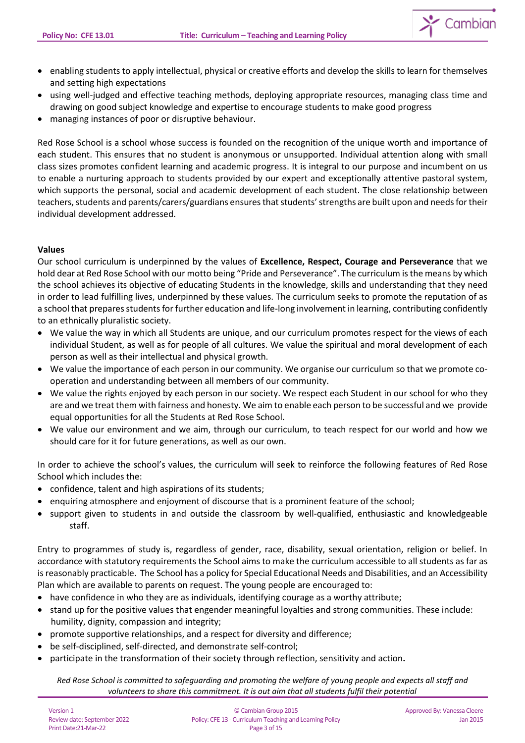

- enabling students to apply intellectual, physical or creative efforts and develop the skills to learn for themselves and setting high expectations
- using well-judged and effective teaching methods, deploying appropriate resources, managing class time and drawing on good subject knowledge and expertise to encourage students to make good progress
- managing instances of poor or disruptive behaviour.

Red Rose School is a school whose success is founded on the recognition of the unique worth and importance of each student. This ensures that no student is anonymous or unsupported. Individual attention along with small class sizes promotes confident learning and academic progress. It is integral to our purpose and incumbent on us to enable a nurturing approach to students provided by our expert and exceptionally attentive pastoral system, which supports the personal, social and academic development of each student. The close relationship between teachers, students and parents/carers/guardians ensures that students' strengths are built upon and needs for their individual development addressed.

### **Values**

Our school curriculum is underpinned by the values of **Excellence, Respect, Courage and Perseverance** that we hold dear at Red Rose School with our motto being "Pride and Perseverance". The curriculum is the means by which the school achieves its objective of educating Students in the knowledge, skills and understanding that they need in order to lead fulfilling lives, underpinned by these values. The curriculum seeks to promote the reputation of as a school that prepares students for further education and life-long involvement in learning, contributing confidently to an ethnically pluralistic society.

- We value the way in which all Students are unique, and our curriculum promotes respect for the views of each individual Student, as well as for people of all cultures. We value the spiritual and moral development of each person as well as their intellectual and physical growth.
- We value the importance of each person in our community. We organise our curriculum so that we promote cooperation and understanding between all members of our community.
- We value the rights enjoyed by each person in our society. We respect each Student in our school for who they are and we treat them with fairness and honesty. We aim to enable each person to be successful and we provide equal opportunities for all the Students at Red Rose School.
- We value our environment and we aim, through our curriculum, to teach respect for our world and how we should care for it for future generations, as well as our own.

In order to achieve the school's values, the curriculum will seek to reinforce the following features of Red Rose School which includes the:

- confidence, talent and high aspirations of its students;
- enquiring atmosphere and enjoyment of discourse that is a prominent feature of the school;
- support given to students in and outside the classroom by well-qualified, enthusiastic and knowledgeable staff.

Entry to programmes of study is, regardless of gender, race, disability, sexual orientation, religion or belief. In accordance with statutory requirements the School aims to make the curriculum accessible to all students as far as is reasonably practicable. The School has a policy for Special Educational Needs and Disabilities, and an Accessibility Plan which are available to parents on request. The young people are encouraged to:

- have confidence in who they are as individuals, identifying courage as a worthy attribute;
- stand up for the positive values that engender meaningful loyalties and strong communities. These include: humility, dignity, compassion and integrity;
- promote supportive relationships, and a respect for diversity and difference;
- be self-disciplined, self-directed, and demonstrate self-control;
- participate in the transformation of their society through reflection, sensitivity and action**.**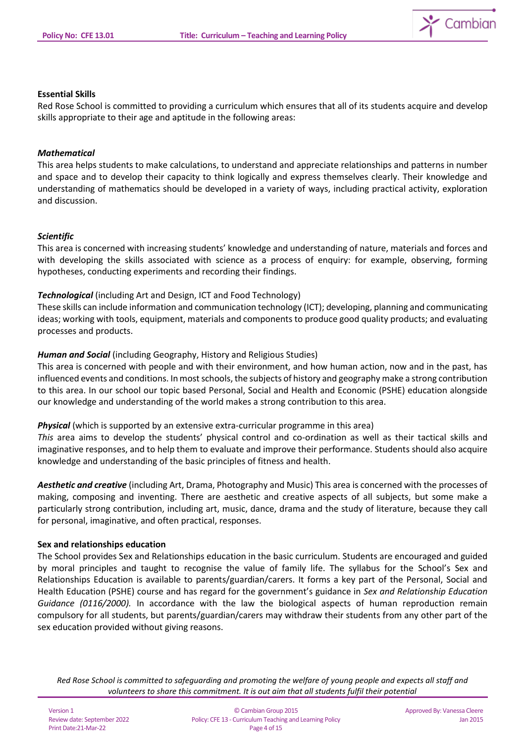

### **Essential Skills**

Red Rose School is committed to providing a curriculum which ensures that all of its students acquire and develop skills appropriate to their age and aptitude in the following areas:

### *Mathematical*

This area helps students to make calculations, to understand and appreciate relationships and patterns in number and space and to develop their capacity to think logically and express themselves clearly. Their knowledge and understanding of mathematics should be developed in a variety of ways, including practical activity, exploration and discussion.

### *Scientific*

This area is concerned with increasing students' knowledge and understanding of nature, materials and forces and with developing the skills associated with science as a process of enquiry: for example, observing, forming hypotheses, conducting experiments and recording their findings.

## *Technological* (including Art and Design, ICT and Food Technology)

These skills can include information and communication technology (ICT); developing, planning and communicating ideas; working with tools, equipment, materials and components to produce good quality products; and evaluating processes and products.

## *Human and Social* (including Geography, History and Religious Studies)

This area is concerned with people and with their environment, and how human action, now and in the past, has influenced events and conditions. In most schools, the subjects of history and geography make a strong contribution to this area. In our school our topic based Personal, Social and Health and Economic (PSHE) education alongside our knowledge and understanding of the world makes a strong contribution to this area.

## *Physical* (which is supported by an extensive extra-curricular programme in this area)

*This* area aims to develop the students' physical control and co-ordination as well as their tactical skills and imaginative responses, and to help them to evaluate and improve their performance. Students should also acquire knowledge and understanding of the basic principles of fitness and health.

*Aesthetic and creative* (including Art, Drama, Photography and Music) This area is concerned with the processes of making, composing and inventing. There are aesthetic and creative aspects of all subjects, but some make a particularly strong contribution, including art, music, dance, drama and the study of literature, because they call for personal, imaginative, and often practical, responses.

#### **Sex and relationships education**

The School provides Sex and Relationships education in the basic curriculum. Students are encouraged and guided by moral principles and taught to recognise the value of family life. The syllabus for the School's Sex and Relationships Education is available to parents/guardian/carers. It forms a key part of the Personal, Social and Health Education (PSHE) course and has regard for the government's guidance in *Sex and Relationship Education Guidance (0116/2000).* In accordance with the law the biological aspects of human reproduction remain compulsory for all students, but parents/guardian/carers may withdraw their students from any other part of the sex education provided without giving reasons.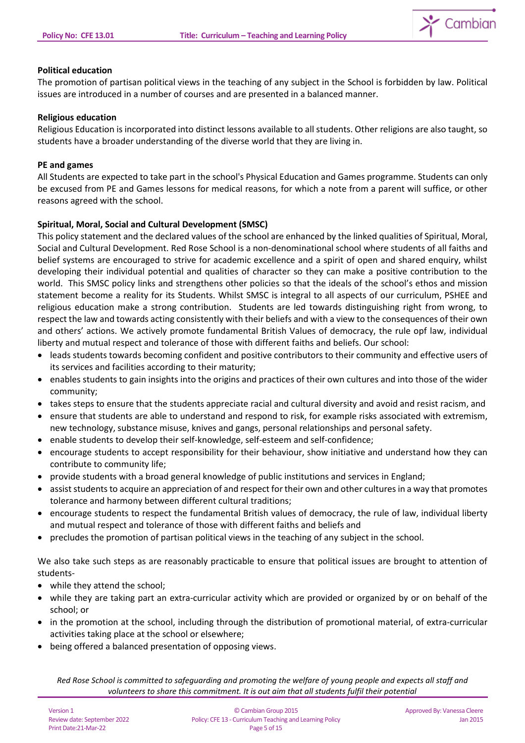

### **Political education**

The promotion of partisan political views in the teaching of any subject in the School is forbidden by law. Political issues are introduced in a number of courses and are presented in a balanced manner.

#### **Religious education**

Religious Education is incorporated into distinct lessons available to all students. Other religions are also taught, so students have a broader understanding of the diverse world that they are living in.

#### **PE and games**

All Students are expected to take part in the school's Physical Education and Games programme. Students can only be excused from PE and Games lessons for medical reasons, for which a note from a parent will suffice, or other reasons agreed with the school.

### **Spiritual, Moral, Social and Cultural Development (SMSC)**

This policy statement and the declared values of the school are enhanced by the linked qualities of Spiritual, Moral, Social and Cultural Development. Red Rose School is a non-denominational school where students of all faiths and belief systems are encouraged to strive for academic excellence and a spirit of open and shared enquiry, whilst developing their individual potential and qualities of character so they can make a positive contribution to the world. This SMSC policy links and strengthens other policies so that the ideals of the school's ethos and mission statement become a reality for its Students. Whilst SMSC is integral to all aspects of our curriculum, PSHEE and religious education make a strong contribution. Students are led towards distinguishing right from wrong, to respect the law and towards acting consistently with their beliefs and with a view to the consequences of their own and others' actions. We actively promote fundamental British Values of democracy, the rule opf law, individual liberty and mutual respect and tolerance of those with different faiths and beliefs. Our school:

- leads students towards becoming confident and positive contributors to their community and effective users of its services and facilities according to their maturity;
- enables students to gain insights into the origins and practices of their own cultures and into those of the wider community;
- takes steps to ensure that the students appreciate racial and cultural diversity and avoid and resist racism, and
- ensure that students are able to understand and respond to risk, for example risks associated with extremism, new technology, substance misuse, knives and gangs, personal relationships and personal safety.
- enable students to develop their self-knowledge, self-esteem and self-confidence;
- encourage students to accept responsibility for their behaviour, show initiative and understand how they can contribute to community life;
- provide students with a broad general knowledge of public institutions and services in England;
- assist students to acquire an appreciation of and respect for their own and other cultures in a way that promotes tolerance and harmony between different cultural traditions;
- encourage students to respect the fundamental British values of democracy, the rule of law, individual liberty and mutual respect and tolerance of those with different faiths and beliefs and
- precludes the promotion of partisan political views in the teaching of any subject in the school.

We also take such steps as are reasonably practicable to ensure that political issues are brought to attention of students-

- while they attend the school;
- while they are taking part an extra-curricular activity which are provided or organized by or on behalf of the school; or
- in the promotion at the school, including through the distribution of promotional material, of extra-curricular activities taking place at the school or elsewhere;
- being offered a balanced presentation of opposing views.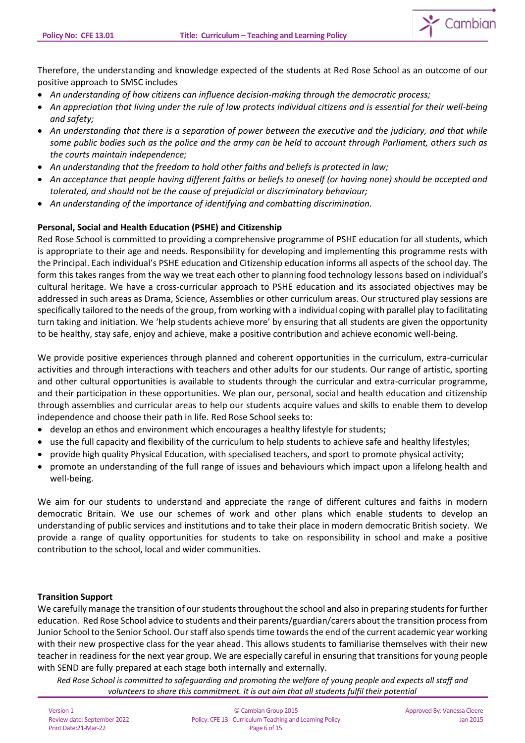

Therefore, the understanding and knowledge expected of the students at Red Rose School as an outcome of our positive approach to SMSC includes

- *An understanding of how citizens can influence decision-making through the democratic process;*
- *An appreciation that living under the rule of law protects individual citizens and is essential for their well-being and safety;*
- *An understanding that there is a separation of power between the executive and the judiciary, and that while some public bodies such as the police and the army can be held to account through Parliament, others such as the courts maintain independence;*
- *An understanding that the freedom to hold other faiths and beliefs is protected in law;*
- *An acceptance that people having different faiths or beliefs to oneself (or having none) should be accepted and tolerated, and should not be the cause of prejudicial or discriminatory behaviour;*
- *An understanding of the importance of identifying and combatting discrimination.*

### **Personal, Social and Health Education (PSHE) and Citizenship**

Red Rose School is committed to providing a comprehensive programme of PSHE education for all students, which is appropriate to their age and needs. Responsibility for developing and implementing this programme rests with the Principal. Each individual's PSHE education and Citizenship education informs all aspects of the school day. The form this takes ranges from the way we treat each other to planning food technology lessons based on individual's cultural heritage. We have a cross-curricular approach to PSHE education and its associated objectives may be addressed in such areas as Drama, Science, Assemblies or other curriculum areas. Our structured play sessions are specifically tailored to the needs of the group, from working with a individual coping with parallel play to facilitating turn taking and initiation. We 'help students achieve more' by ensuring that all students are given the opportunity to be healthy, stay safe, enjoy and achieve, make a positive contribution and achieve economic well-being.

We provide positive experiences through planned and coherent opportunities in the curriculum, extra-curricular activities and through interactions with teachers and other adults for our students. Our range of artistic, sporting and other cultural opportunities is available to students through the curricular and extra-curricular programme, and their participation in these opportunities. We plan our, personal, social and health education and citizenship through assemblies and curricular areas to help our students acquire values and skills to enable them to develop independence and choose their path in life. Red Rose School seeks to:

- develop an ethos and environment which encourages a healthy lifestyle for students;
- use the full capacity and flexibility of the curriculum to help students to achieve safe and healthy lifestyles;
- provide high quality Physical Education, with specialised teachers, and sport to promote physical activity;
- promote an understanding of the full range of issues and behaviours which impact upon a lifelong health and well-being.

We aim for our students to understand and appreciate the range of different cultures and faiths in modern democratic Britain. We use our schemes of work and other plans which enable students to develop an understanding of public services and institutions and to take their place in modern democratic British society. We provide a range of quality opportunities for students to take on responsibility in school and make a positive contribution to the school, local and wider communities.

#### **Transition Support**

We carefully manage the transition of our students throughout the school and also in preparing students for further education. Red Rose School advice to students and their parents/guardian/carers about the transition process from Junior School to the Senior School. Our staff also spends time towards the end of the current academic year working with their new prospective class for the year ahead. This allows students to familiarise themselves with their new teacher in readiness for the next year group. We are especially careful in ensuring that transitions for young people with SEND are fully prepared at each stage both internally and externally.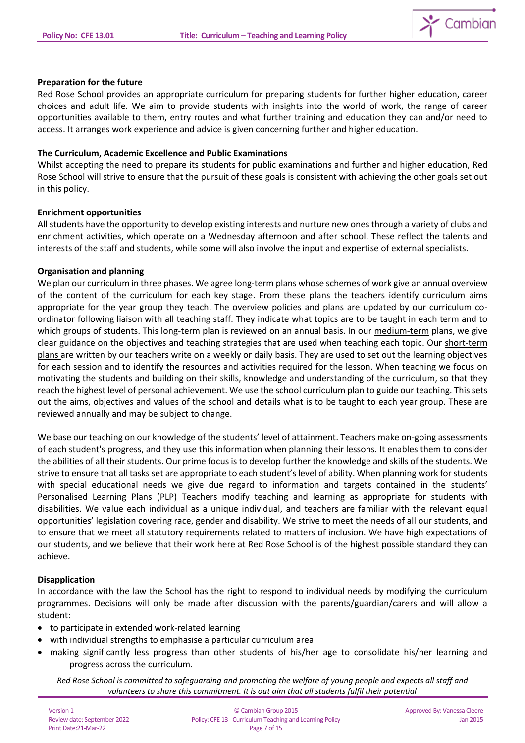

#### **Preparation for the future**

Red Rose School provides an appropriate curriculum for preparing students for further higher education, career choices and adult life. We aim to provide students with insights into the world of work, the range of career opportunities available to them, entry routes and what further training and education they can and/or need to access. It arranges work experience and advice is given concerning further and higher education.

### **The Curriculum, Academic Excellence and Public Examinations**

Whilst accepting the need to prepare its students for public examinations and further and higher education, Red Rose School will strive to ensure that the pursuit of these goals is consistent with achieving the other goals set out in this policy.

### **Enrichment opportunities**

All students have the opportunity to develop existing interests and nurture new ones through a variety of clubs and enrichment activities, which operate on a Wednesday afternoon and after school. These reflect the talents and interests of the staff and students, while some will also involve the input and expertise of external specialists.

### **Organisation and planning**

We plan our curriculum in three phases. We agree long-term plans whose schemes of work give an annual overview of the content of the curriculum for each key stage. From these plans the teachers identify curriculum aims appropriate for the year group they teach. The overview policies and plans are updated by our curriculum coordinator following liaison with all teaching staff. They indicate what topics are to be taught in each term and to which groups of students. This long-term plan is reviewed on an annual basis. In our medium-term plans, we give clear guidance on the objectives and teaching strategies that are used when teaching each topic. Our short-term plans are written by our teachers write on a weekly or daily basis. They are used to set out the learning objectives for each session and to identify the resources and activities required for the lesson. When teaching we focus on motivating the students and building on their skills, knowledge and understanding of the curriculum, so that they reach the highest level of personal achievement. We use the school curriculum plan to guide our teaching. This sets out the aims, objectives and values of the school and details what is to be taught to each year group. These are reviewed annually and may be subject to change.

We base our teaching on our knowledge of the students' level of attainment. Teachers make on-going assessments of each student's progress, and they use this information when planning their lessons. It enables them to consider the abilities of all their students. Our prime focus is to develop further the knowledge and skills of the students. We strive to ensure that all tasks set are appropriate to each student's level of ability. When planning work for students with special educational needs we give due regard to information and targets contained in the students' Personalised Learning Plans (PLP) Teachers modify teaching and learning as appropriate for students with disabilities. We value each individual as a unique individual, and teachers are familiar with the relevant equal opportunities' legislation covering race, gender and disability. We strive to meet the needs of all our students, and to ensure that we meet all statutory requirements related to matters of inclusion. We have high expectations of our students, and we believe that their work here at Red Rose School is of the highest possible standard they can achieve.

## **Disapplication**

In accordance with the law the School has the right to respond to individual needs by modifying the curriculum programmes. Decisions will only be made after discussion with the parents/guardian/carers and will allow a student:

- to participate in extended work-related learning
- with individual strengths to emphasise a particular curriculum area
- making significantly less progress than other students of his/her age to consolidate his/her learning and progress across the curriculum.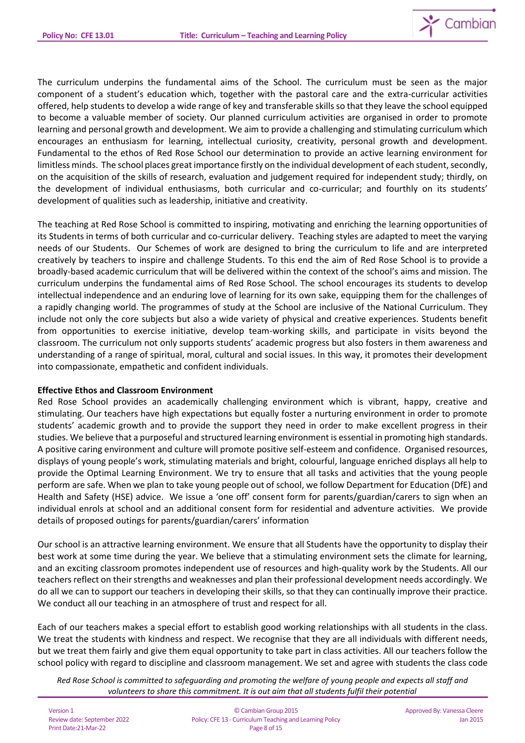

The curriculum underpins the fundamental aims of the School. The curriculum must be seen as the major component of a student's education which, together with the pastoral care and the extra-curricular activities offered, help students to develop a wide range of key and transferable skills so that they leave the school equipped to become a valuable member of society. Our planned curriculum activities are organised in order to promote learning and personal growth and development. We aim to provide a challenging and stimulating curriculum which encourages an enthusiasm for learning, intellectual curiosity, creativity, personal growth and development. Fundamental to the ethos of Red Rose School our determination to provide an active learning environment for limitless minds. The school places great importance firstly on the individual development of each student, secondly, on the acquisition of the skills of research, evaluation and judgement required for independent study; thirdly, on the development of individual enthusiasms, both curricular and co-curricular; and fourthly on its students' development of qualities such as leadership, initiative and creativity.

The teaching at Red Rose School is committed to inspiring, motivating and enriching the learning opportunities of its Students in terms of both curricular and co-curricular delivery. Teaching styles are adapted to meet the varying needs of our Students. Our Schemes of work are designed to bring the curriculum to life and are interpreted creatively by teachers to inspire and challenge Students. To this end the aim of Red Rose School is to provide a broadly-based academic curriculum that will be delivered within the context of the school's aims and mission. The curriculum underpins the fundamental aims of Red Rose School. The school encourages its students to develop intellectual independence and an enduring love of learning for its own sake, equipping them for the challenges of a rapidly changing world. The programmes of study at the School are inclusive of the National Curriculum. They include not only the core subjects but also a wide variety of physical and creative experiences. Students benefit from opportunities to exercise initiative, develop team-working skills, and participate in visits beyond the classroom. The curriculum not only supports students' academic progress but also fosters in them awareness and understanding of a range of spiritual, moral, cultural and social issues. In this way, it promotes their development into compassionate, empathetic and confident individuals.

## **Effective Ethos and Classroom Environment**

Red Rose School provides an academically challenging environment which is vibrant, happy, creative and stimulating. Our teachers have high expectations but equally foster a nurturing environment in order to promote students' academic growth and to provide the support they need in order to make excellent progress in their studies. We believe that a purposeful and structured learning environment is essential in promoting high standards. A positive caring environment and culture will promote positive self-esteem and confidence. Organised resources, displays of young people's work, stimulating materials and bright, colourful, language enriched displays all help to provide the Optimal Learning Environment. We try to ensure that all tasks and activities that the young people perform are safe. When we plan to take young people out of school, we follow Department for Education (DfE) and Health and Safety (HSE) advice. We issue a 'one off' consent form for parents/guardian/carers to sign when an individual enrols at school and an additional consent form for residential and adventure activities. We provide details of proposed outings for parents/guardian/carers' information

Our school is an attractive learning environment. We ensure that all Students have the opportunity to display their best work at some time during the year. We believe that a stimulating environment sets the climate for learning, and an exciting classroom promotes independent use of resources and high-quality work by the Students. All our teachers reflect on their strengths and weaknesses and plan their professional development needs accordingly. We do all we can to support our teachers in developing their skills, so that they can continually improve their practice. We conduct all our teaching in an atmosphere of trust and respect for all.

Each of our teachers makes a special effort to establish good working relationships with all students in the class. We treat the students with kindness and respect. We recognise that they are all individuals with different needs, but we treat them fairly and give them equal opportunity to take part in class activities. All our teachers follow the school policy with regard to discipline and classroom management. We set and agree with students the class code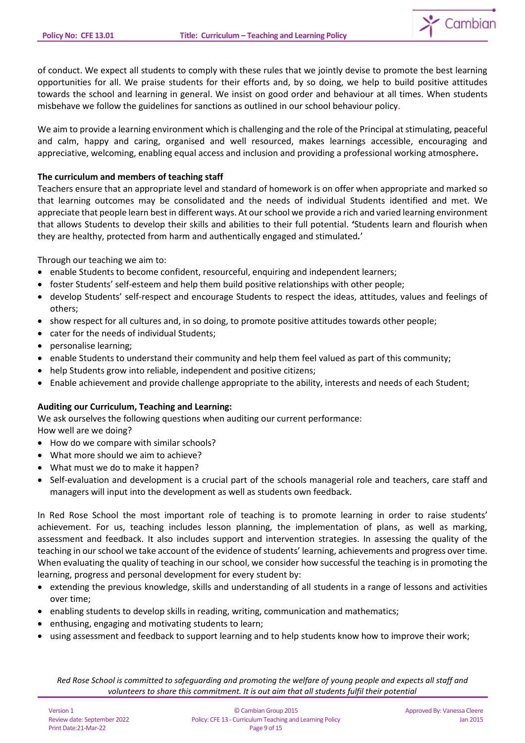

of conduct. We expect all students to comply with these rules that we jointly devise to promote the best learning opportunities for all. We praise students for their efforts and, by so doing, we help to build positive attitudes towards the school and learning in general. We insist on good order and behaviour at all times. When students misbehave we follow the guidelines for sanctions as outlined in our school behaviour policy.

We aim to provide a learning environment which is challenging and the role of the Principal at stimulating, peaceful and calm, happy and caring, organised and well resourced, makes learnings accessible, encouraging and appreciative, welcoming, enabling equal access and inclusion and providing a professional working atmosphere**.**

## **The curriculum and members of teaching staff**

Teachers ensure that an appropriate level and standard of homework is on offer when appropriate and marked so that learning outcomes may be consolidated and the needs of individual Students identified and met. We appreciate that people learn best in different ways. At our school we provide a rich and varied learning environment that allows Students to develop their skills and abilities to their full potential. **'**Students learn and flourish when they are healthy, protected from harm and authentically engaged and stimulated*.*'

Through our teaching we aim to:

- enable Students to become confident, resourceful, enquiring and independent learners;
- foster Students' self-esteem and help them build positive relationships with other people;
- develop Students' self-respect and encourage Students to respect the ideas, attitudes, values and feelings of others;
- show respect for all cultures and, in so doing, to promote positive attitudes towards other people;
- cater for the needs of individual Students;
- personalise learning;
- enable Students to understand their community and help them feel valued as part of this community;
- help Students grow into reliable, independent and positive citizens;
- Enable achievement and provide challenge appropriate to the ability, interests and needs of each Student;

## **Auditing our Curriculum, Teaching and Learning:**

We ask ourselves the following questions when auditing our current performance: How well are we doing?

- How do we compare with similar schools?
- What more should we aim to achieve?
- What must we do to make it happen?
- Self-evaluation and development is a crucial part of the schools managerial role and teachers, care staff and managers will input into the development as well as students own feedback.

In Red Rose School the most important role of teaching is to promote learning in order to raise students' achievement. For us, teaching includes lesson planning, the implementation of plans, as well as marking, assessment and feedback. It also includes support and intervention strategies. In assessing the quality of the teaching in our school we take account of the evidence of students' learning, achievements and progress over time. When evaluating the quality of teaching in our school, we consider how successful the teaching is in promoting the learning, progress and personal development for every student by:

- extending the previous knowledge, skills and understanding of all students in a range of lessons and activities over time;
- enabling students to develop skills in reading, writing, communication and mathematics;
- enthusing, engaging and motivating students to learn;
- using assessment and feedback to support learning and to help students know how to improve their work;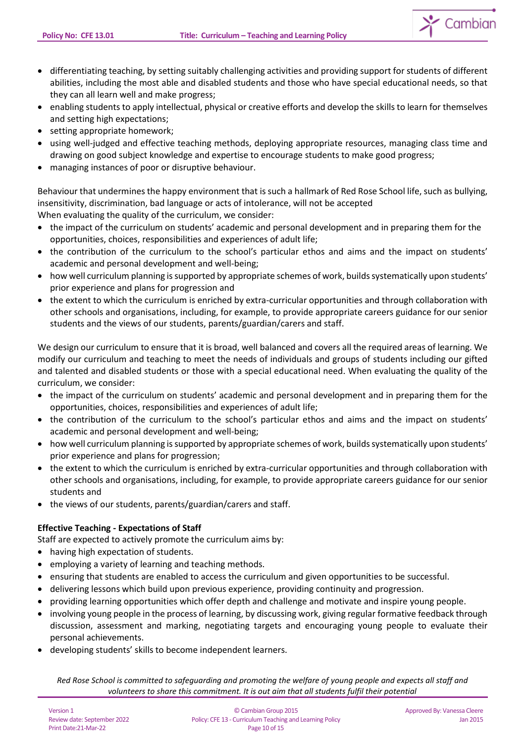

- differentiating teaching, by setting suitably challenging activities and providing support for students of different abilities, including the most able and disabled students and those who have special educational needs, so that they can all learn well and make progress;
- enabling students to apply intellectual, physical or creative efforts and develop the skills to learn for themselves and setting high expectations;
- setting appropriate homework;
- using well-judged and effective teaching methods, deploying appropriate resources, managing class time and drawing on good subject knowledge and expertise to encourage students to make good progress;
- managing instances of poor or disruptive behaviour.

Behaviour that undermines the happy environment that is such a hallmark of Red Rose School life, such as bullying, insensitivity, discrimination, bad language or acts of intolerance, will not be accepted When evaluating the quality of the curriculum, we consider:

- the impact of the curriculum on students' academic and personal development and in preparing them for the opportunities, choices, responsibilities and experiences of adult life;
- the contribution of the curriculum to the school's particular ethos and aims and the impact on students' academic and personal development and well-being;
- how well curriculum planning is supported by appropriate schemes of work, builds systematically upon students' prior experience and plans for progression and
- the extent to which the curriculum is enriched by extra-curricular opportunities and through collaboration with other schools and organisations, including, for example, to provide appropriate careers guidance for our senior students and the views of our students, parents/guardian/carers and staff.

We design our curriculum to ensure that it is broad, well balanced and covers all the required areas of learning. We modify our curriculum and teaching to meet the needs of individuals and groups of students including our gifted and talented and disabled students or those with a special educational need. When evaluating the quality of the curriculum, we consider:

- the impact of the curriculum on students' academic and personal development and in preparing them for the opportunities, choices, responsibilities and experiences of adult life;
- the contribution of the curriculum to the school's particular ethos and aims and the impact on students' academic and personal development and well-being;
- how well curriculum planning is supported by appropriate schemes of work, builds systematically upon students' prior experience and plans for progression;
- the extent to which the curriculum is enriched by extra-curricular opportunities and through collaboration with other schools and organisations, including, for example, to provide appropriate careers guidance for our senior students and
- the views of our students, parents/guardian/carers and staff.

## **Effective Teaching - Expectations of Staff**

Staff are expected to actively promote the curriculum aims by:

- having high expectation of students.
- employing a variety of learning and teaching methods.
- ensuring that students are enabled to access the curriculum and given opportunities to be successful.
- delivering lessons which build upon previous experience, providing continuity and progression.
- providing learning opportunities which offer depth and challenge and motivate and inspire young people.
- involving young people in the process of learning, by discussing work, giving regular formative feedback through discussion, assessment and marking, negotiating targets and encouraging young people to evaluate their personal achievements.
- developing students' skills to become independent learners.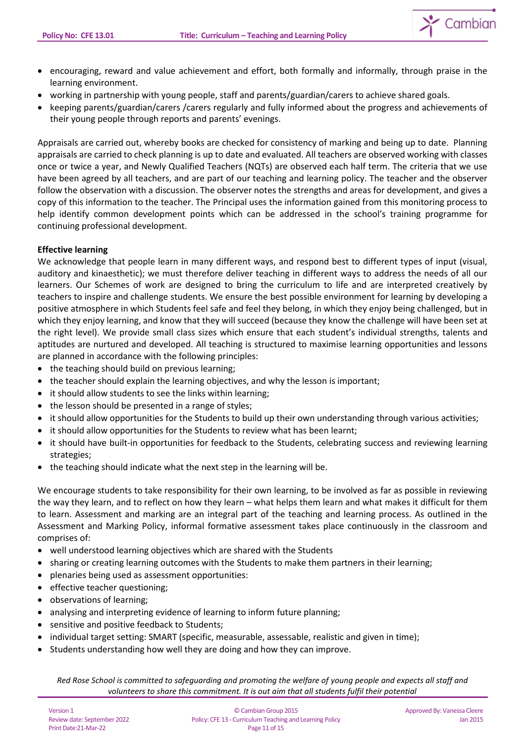

- encouraging, reward and value achievement and effort, both formally and informally, through praise in the learning environment.
- working in partnership with young people, staff and parents/guardian/carers to achieve shared goals.
- keeping parents/guardian/carers /carers regularly and fully informed about the progress and achievements of their young people through reports and parents' evenings.

Appraisals are carried out, whereby books are checked for consistency of marking and being up to date. Planning appraisals are carried to check planning is up to date and evaluated. All teachers are observed working with classes once or twice a year, and Newly Qualified Teachers (NQTs) are observed each half term. The criteria that we use have been agreed by all teachers, and are part of our teaching and learning policy. The teacher and the observer follow the observation with a discussion. The observer notes the strengths and areas for development, and gives a copy of this information to the teacher. The Principal uses the information gained from this monitoring process to help identify common development points which can be addressed in the school's training programme for continuing professional development.

## **Effective learning**

We acknowledge that people learn in many different ways, and respond best to different types of input (visual, auditory and kinaesthetic); we must therefore deliver teaching in different ways to address the needs of all our learners. Our Schemes of work are designed to bring the curriculum to life and are interpreted creatively by teachers to inspire and challenge students. We ensure the best possible environment for learning by developing a positive atmosphere in which Students feel safe and feel they belong, in which they enjoy being challenged, but in which they enjoy learning, and know that they will succeed (because they know the challenge will have been set at the right level). We provide small class sizes which ensure that each student's individual strengths, talents and aptitudes are nurtured and developed. All teaching is structured to maximise learning opportunities and lessons are planned in accordance with the following principles:

- the teaching should build on previous learning;
- the teacher should explain the learning objectives, and why the lesson is important;
- it should allow students to see the links within learning;
- the lesson should be presented in a range of styles;
- it should allow opportunities for the Students to build up their own understanding through various activities;
- it should allow opportunities for the Students to review what has been learnt;
- it should have built-in opportunities for feedback to the Students, celebrating success and reviewing learning strategies;
- the teaching should indicate what the next step in the learning will be.

We encourage students to take responsibility for their own learning, to be involved as far as possible in reviewing the way they learn, and to reflect on how they learn – what helps them learn and what makes it difficult for them to learn. Assessment and marking are an integral part of the teaching and learning process. As outlined in the Assessment and Marking Policy, informal formative assessment takes place continuously in the classroom and comprises of:

- well understood learning objectives which are shared with the Students
- sharing or creating learning outcomes with the Students to make them partners in their learning;
- plenaries being used as assessment opportunities:
- effective teacher questioning;
- observations of learning;
- analysing and interpreting evidence of learning to inform future planning;
- sensitive and positive feedback to Students;
- individual target setting: SMART (specific, measurable, assessable, realistic and given in time);
- Students understanding how well they are doing and how they can improve.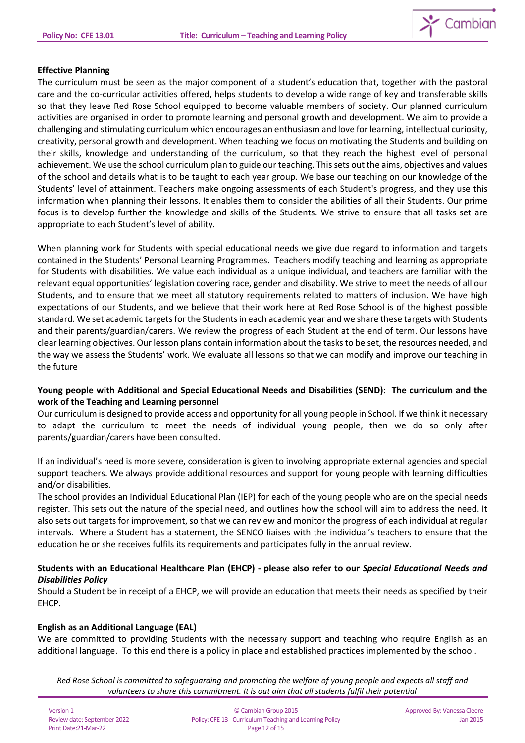

## **Effective Planning**

The curriculum must be seen as the major component of a student's education that, together with the pastoral care and the co-curricular activities offered, helps students to develop a wide range of key and transferable skills so that they leave Red Rose School equipped to become valuable members of society. Our planned curriculum activities are organised in order to promote learning and personal growth and development. We aim to provide a challenging and stimulating curriculum which encourages an enthusiasm and love for learning, intellectual curiosity, creativity, personal growth and development. When teaching we focus on motivating the Students and building on their skills, knowledge and understanding of the curriculum, so that they reach the highest level of personal achievement. We use the school curriculum plan to guide our teaching. This sets out the aims, objectives and values of the school and details what is to be taught to each year group. We base our teaching on our knowledge of the Students' level of attainment. Teachers make ongoing assessments of each Student's progress, and they use this information when planning their lessons. It enables them to consider the abilities of all their Students. Our prime focus is to develop further the knowledge and skills of the Students. We strive to ensure that all tasks set are appropriate to each Student's level of ability.

When planning work for Students with special educational needs we give due regard to information and targets contained in the Students' Personal Learning Programmes. Teachers modify teaching and learning as appropriate for Students with disabilities. We value each individual as a unique individual, and teachers are familiar with the relevant equal opportunities' legislation covering race, gender and disability. We strive to meet the needs of all our Students, and to ensure that we meet all statutory requirements related to matters of inclusion. We have high expectations of our Students, and we believe that their work here at Red Rose School is of the highest possible standard. We set academic targets for the Students in each academic year and we share these targets with Students and their parents/guardian/carers. We review the progress of each Student at the end of term. Our lessons have clear learning objectives. Our lesson plans contain information about the tasks to be set, the resources needed, and the way we assess the Students' work. We evaluate all lessons so that we can modify and improve our teaching in the future

# **Young people with Additional and Special Educational Needs and Disabilities (SEND): The curriculum and the work of the Teaching and Learning personnel**

Our curriculum is designed to provide access and opportunity for all young people in School. If we think it necessary to adapt the curriculum to meet the needs of individual young people, then we do so only after parents/guardian/carers have been consulted.

If an individual's need is more severe, consideration is given to involving appropriate external agencies and special support teachers. We always provide additional resources and support for young people with learning difficulties and/or disabilities.

The school provides an Individual Educational Plan (IEP) for each of the young people who are on the special needs register. This sets out the nature of the special need, and outlines how the school will aim to address the need. It also sets out targets for improvement, so that we can review and monitor the progress of each individual at regular intervals. Where a Student has a statement, the SENCO liaises with the individual's teachers to ensure that the education he or she receives fulfils its requirements and participates fully in the annual review.

# **Students with an Educational Healthcare Plan (EHCP) - please also refer to our** *Special Educational Needs and Disabilities Policy*

Should a Student be in receipt of a EHCP, we will provide an education that meets their needs as specified by their EHCP.

## **English as an Additional Language (EAL)**

We are committed to providing Students with the necessary support and teaching who require English as an additional language. To this end there is a policy in place and established practices implemented by the school.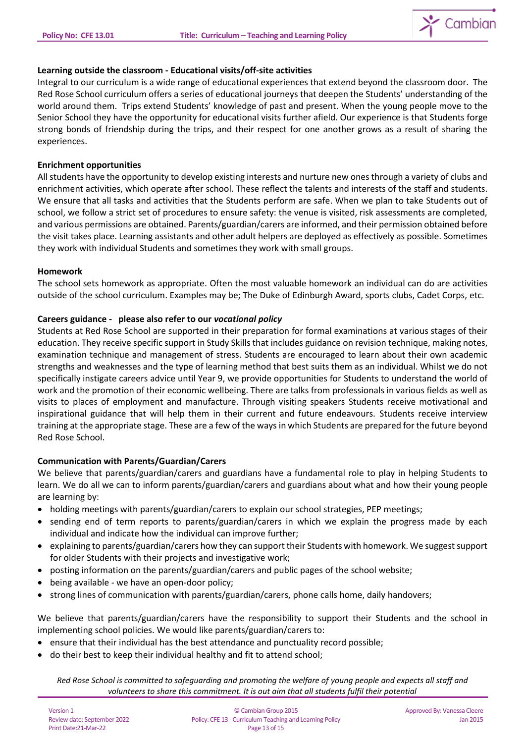

### **Learning outside the classroom - Educational visits/off-site activities**

Integral to our curriculum is a wide range of educational experiences that extend beyond the classroom door. The Red Rose School curriculum offers a series of educational journeys that deepen the Students' understanding of the world around them. Trips extend Students' knowledge of past and present. When the young people move to the Senior School they have the opportunity for educational visits further afield. Our experience is that Students forge strong bonds of friendship during the trips, and their respect for one another grows as a result of sharing the experiences.

#### **Enrichment opportunities**

All students have the opportunity to develop existing interests and nurture new ones through a variety of clubs and enrichment activities, which operate after school. These reflect the talents and interests of the staff and students. We ensure that all tasks and activities that the Students perform are safe. When we plan to take Students out of school, we follow a strict set of procedures to ensure safety: the venue is visited, risk assessments are completed, and various permissions are obtained. Parents/guardian/carers are informed, and their permission obtained before the visit takes place. Learning assistants and other adult helpers are deployed as effectively as possible. Sometimes they work with individual Students and sometimes they work with small groups.

### **Homework**

The school sets homework as appropriate. Often the most valuable homework an individual can do are activities outside of the school curriculum. Examples may be; The Duke of Edinburgh Award, sports clubs, Cadet Corps, etc.

## **Careers guidance - please also refer to our** *vocational policy*

Students at Red Rose School are supported in their preparation for formal examinations at various stages of their education. They receive specific support in Study Skills that includes guidance on revision technique, making notes, examination technique and management of stress. Students are encouraged to learn about their own academic strengths and weaknesses and the type of learning method that best suits them as an individual. Whilst we do not specifically instigate careers advice until Year 9, we provide opportunities for Students to understand the world of work and the promotion of their economic wellbeing. There are talks from professionals in various fields as well as visits to places of employment and manufacture. Through visiting speakers Students receive motivational and inspirational guidance that will help them in their current and future endeavours. Students receive interview training at the appropriate stage. These are a few of the ways in which Students are prepared for the future beyond Red Rose School.

## **Communication with Parents/Guardian/Carers**

We believe that parents/guardian/carers and guardians have a fundamental role to play in helping Students to learn. We do all we can to inform parents/guardian/carers and guardians about what and how their young people are learning by:

- holding meetings with parents/guardian/carers to explain our school strategies, PEP meetings;
- sending end of term reports to parents/guardian/carers in which we explain the progress made by each individual and indicate how the individual can improve further;
- explaining to parents/guardian/carers how they can support their Students with homework. We suggest support for older Students with their projects and investigative work;
- posting information on the parents/guardian/carers and public pages of the school website;
- being available we have an open-door policy;
- strong lines of communication with parents/guardian/carers, phone calls home, daily handovers;

We believe that parents/guardian/carers have the responsibility to support their Students and the school in implementing school policies. We would like parents/guardian/carers to:

- ensure that their individual has the best attendance and punctuality record possible;
- do their best to keep their individual healthy and fit to attend school;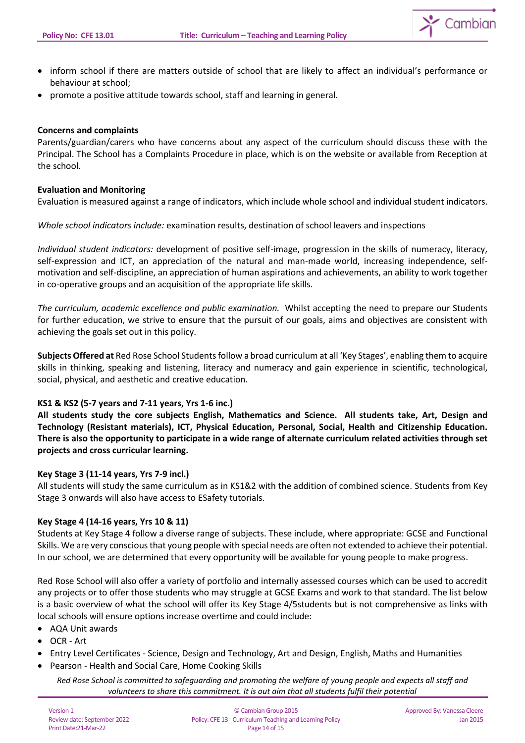

- inform school if there are matters outside of school that are likely to affect an individual's performance or behaviour at school;
- promote a positive attitude towards school, staff and learning in general.

## **Concerns and complaints**

Parents/guardian/carers who have concerns about any aspect of the curriculum should discuss these with the Principal. The School has a Complaints Procedure in place, which is on the website or available from Reception at the school.

### **Evaluation and Monitoring**

Evaluation is measured against a range of indicators, which include whole school and individual student indicators.

*Whole school indicators include:* examination results, destination of school leavers and inspections

*Individual student indicators:* development of positive self-image, progression in the skills of numeracy, literacy, self-expression and ICT, an appreciation of the natural and man-made world, increasing independence, selfmotivation and self-discipline, an appreciation of human aspirations and achievements, an ability to work together in co-operative groups and an acquisition of the appropriate life skills.

*The curriculum, academic excellence and public examination.* Whilst accepting the need to prepare our Students for further education, we strive to ensure that the pursuit of our goals, aims and objectives are consistent with achieving the goals set out in this policy.

**Subjects Offered at** Red Rose School Students follow a broad curriculum at all 'Key Stages', enabling them to acquire skills in thinking, speaking and listening, literacy and numeracy and gain experience in scientific, technological, social, physical, and aesthetic and creative education.

## **KS1 & KS2 (5-7 years and 7-11 years, Yrs 1-6 inc.)**

**All students study the core subjects English, Mathematics and Science. All students take, Art, Design and Technology (Resistant materials), ICT, Physical Education, Personal, Social, Health and Citizenship Education. There is also the opportunity to participate in a wide range of alternate curriculum related activities through set projects and cross curricular learning.** 

#### **Key Stage 3 (11-14 years, Yrs 7-9 incl.)**

All students will study the same curriculum as in KS1&2 with the addition of combined science. Students from Key Stage 3 onwards will also have access to ESafety tutorials.

## **Key Stage 4 (14-16 years, Yrs 10 & 11)**

Students at Key Stage 4 follow a diverse range of subjects. These include, where appropriate: GCSE and Functional Skills. We are very conscious that young people with special needs are often not extended to achieve their potential. In our school, we are determined that every opportunity will be available for young people to make progress.

Red Rose School will also offer a variety of portfolio and internally assessed courses which can be used to accredit any projects or to offer those students who may struggle at GCSE Exams and work to that standard. The list below is a basic overview of what the school will offer its Key Stage 4/5students but is not comprehensive as links with local schools will ensure options increase overtime and could include:

- AQA Unit awards
- OCR Art
- Entry Level Certificates Science, Design and Technology, Art and Design, English, Maths and Humanities
- Pearson Health and Social Care, Home Cooking Skills